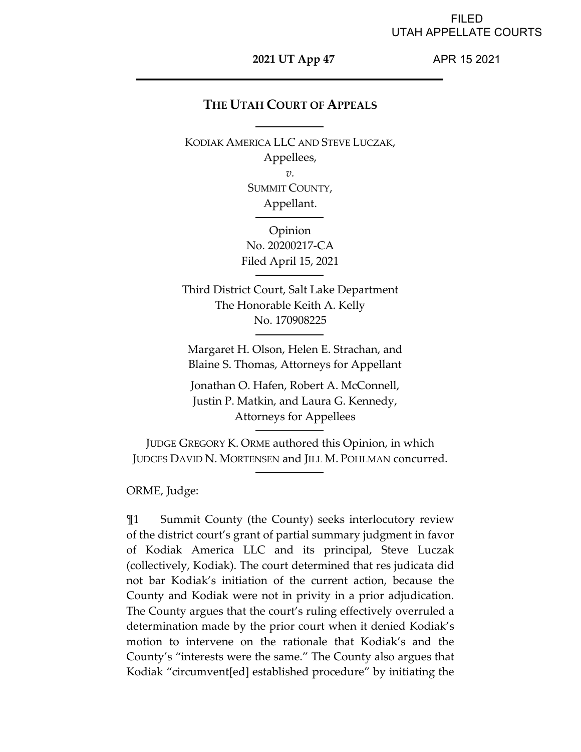### FILED UTAH APPELLATE COURTS

### **2021 UT App 47**

APR 15 2021

# **THE UTAH COURT OF APPEALS**

KODIAK AMERICA LLC AND STEVE LUCZAK, Appellees, *v.*  SUMMIT COUNTY,

Appellant.

Opinion No. 20200217-CA Filed April 15, 2021

Third District Court, Salt Lake Department The Honorable Keith A. Kelly No. 170908225

Margaret H. Olson, Helen E. Strachan, and Blaine S. Thomas, Attorneys for Appellant

Jonathan O. Hafen, Robert A. McConnell, Justin P. Matkin, and Laura G. Kennedy, Attorneys for Appellees

JUDGE GREGORY K. ORME authored this Opinion, in which JUDGES DAVID N. MORTENSEN and JILL M. POHLMAN concurred.

ORME, Judge:

¶1 Summit County (the County) seeks interlocutory review of the district court's grant of partial summary judgment in favor of Kodiak America LLC and its principal, Steve Luczak (collectively, Kodiak). The court determined that res judicata did not bar Kodiak's initiation of the current action, because the County and Kodiak were not in privity in a prior adjudication. The County argues that the court's ruling effectively overruled a determination made by the prior court when it denied Kodiak's motion to intervene on the rationale that Kodiak's and the County's "interests were the same." The County also argues that Kodiak "circumvent[ed] established procedure" by initiating the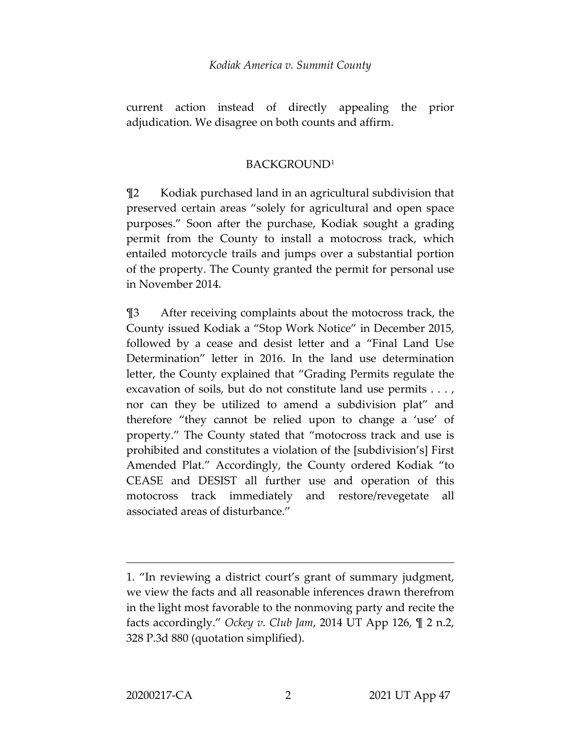current action instead of directly appealing the prior adjudication. We disagree on both counts and affirm.

# BACKGROUND[1](#page-1-0)

¶2 Kodiak purchased land in an agricultural subdivision that preserved certain areas "solely for agricultural and open space purposes." Soon after the purchase, Kodiak sought a grading permit from the County to install a motocross track, which entailed motorcycle trails and jumps over a substantial portion of the property. The County granted the permit for personal use in November 2014.

¶3 After receiving complaints about the motocross track, the County issued Kodiak a "Stop Work Notice" in December 2015, followed by a cease and desist letter and a "Final Land Use Determination" letter in 2016. In the land use determination letter, the County explained that "Grading Permits regulate the excavation of soils, but do not constitute land use permits . . . , nor can they be utilized to amend a subdivision plat" and therefore "they cannot be relied upon to change a 'use' of property." The County stated that "motocross track and use is prohibited and constitutes a violation of the [subdivision's] First Amended Plat." Accordingly, the County ordered Kodiak "to CEASE and DESIST all further use and operation of this motocross track immediately and restore/revegetate all associated areas of disturbance."

<span id="page-1-0"></span><sup>1. &</sup>quot;In reviewing a district court's grant of summary judgment, we view the facts and all reasonable inferences drawn therefrom in the light most favorable to the nonmoving party and recite the facts accordingly." *Ockey v. Club Jam*, 2014 UT App 126, ¶ 2 n.2, 328 P.3d 880 (quotation simplified).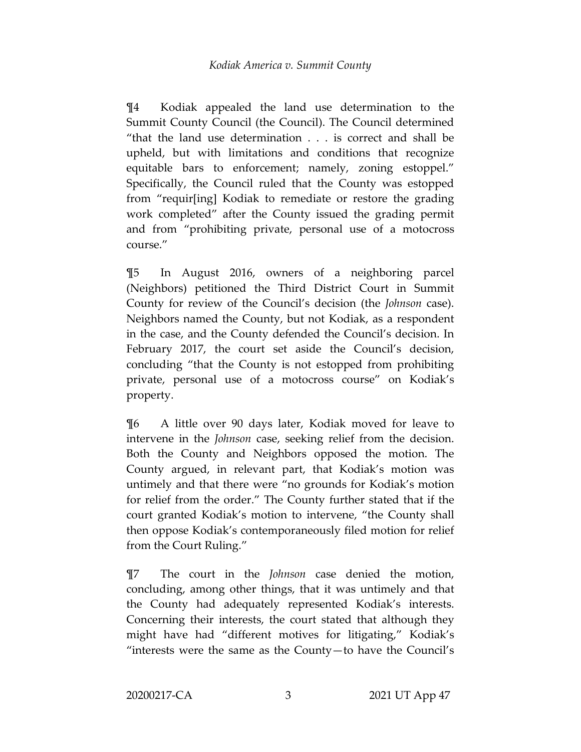¶4 Kodiak appealed the land use determination to the Summit County Council (the Council). The Council determined "that the land use determination . . . is correct and shall be upheld, but with limitations and conditions that recognize equitable bars to enforcement; namely, zoning estoppel." Specifically, the Council ruled that the County was estopped from "requir[ing] Kodiak to remediate or restore the grading work completed" after the County issued the grading permit and from "prohibiting private, personal use of a motocross course."

¶5 In August 2016, owners of a neighboring parcel (Neighbors) petitioned the Third District Court in Summit County for review of the Council's decision (the *Johnson* case). Neighbors named the County, but not Kodiak, as a respondent in the case, and the County defended the Council's decision. In February 2017, the court set aside the Council's decision, concluding "that the County is not estopped from prohibiting private, personal use of a motocross course" on Kodiak's property.

¶6 A little over 90 days later, Kodiak moved for leave to intervene in the *Johnson* case, seeking relief from the decision. Both the County and Neighbors opposed the motion. The County argued, in relevant part, that Kodiak's motion was untimely and that there were "no grounds for Kodiak's motion for relief from the order." The County further stated that if the court granted Kodiak's motion to intervene, "the County shall then oppose Kodiak's contemporaneously filed motion for relief from the Court Ruling."

¶7 The court in the *Johnson* case denied the motion, concluding, among other things, that it was untimely and that the County had adequately represented Kodiak's interests. Concerning their interests, the court stated that although they might have had "different motives for litigating," Kodiak's "interests were the same as the County—to have the Council's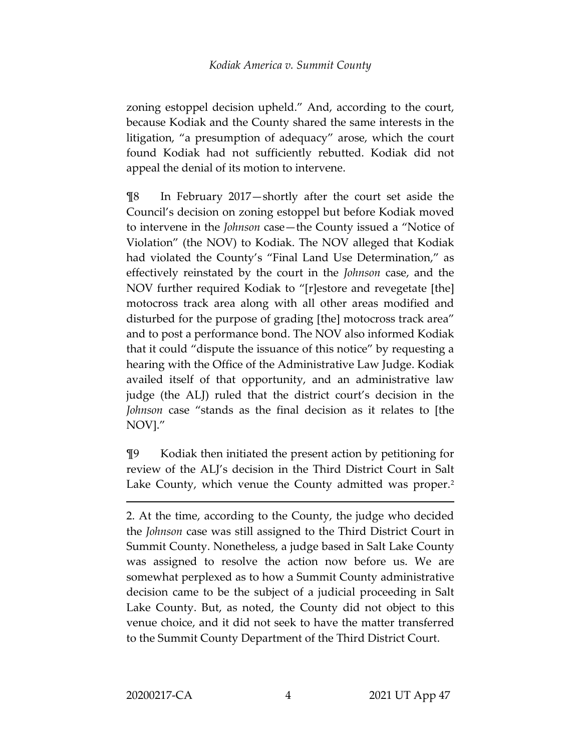zoning estoppel decision upheld." And, according to the court, because Kodiak and the County shared the same interests in the litigation, "a presumption of adequacy" arose, which the court found Kodiak had not sufficiently rebutted. Kodiak did not appeal the denial of its motion to intervene.

¶8 In February 2017—shortly after the court set aside the Council's decision on zoning estoppel but before Kodiak moved to intervene in the *Johnson* case—the County issued a "Notice of Violation" (the NOV) to Kodiak. The NOV alleged that Kodiak had violated the County's "Final Land Use Determination," as effectively reinstated by the court in the *Johnson* case, and the NOV further required Kodiak to "[r]estore and revegetate [the] motocross track area along with all other areas modified and disturbed for the purpose of grading [the] motocross track area" and to post a performance bond. The NOV also informed Kodiak that it could "dispute the issuance of this notice" by requesting a hearing with the Office of the Administrative Law Judge. Kodiak availed itself of that opportunity, and an administrative law judge (the ALJ) ruled that the district court's decision in the *Johnson* case "stands as the final decision as it relates to [the NOV]."

¶9 Kodiak then initiated the present action by petitioning for review of the ALJ's decision in the Third District Court in Salt Lake County, which venue the County admitted was proper.<sup>[2](#page-3-0)</sup>

<span id="page-3-0"></span>2. At the time, according to the County, the judge who decided the *Johnson* case was still assigned to the Third District Court in Summit County. Nonetheless, a judge based in Salt Lake County was assigned to resolve the action now before us. We are somewhat perplexed as to how a Summit County administrative decision came to be the subject of a judicial proceeding in Salt Lake County. But, as noted, the County did not object to this venue choice, and it did not seek to have the matter transferred to the Summit County Department of the Third District Court.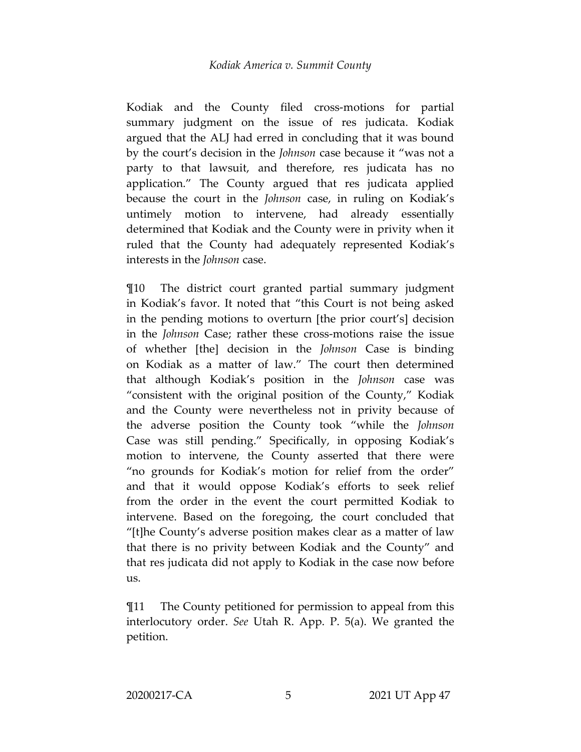### *Kodiak America v. Summit County*

Kodiak and the County filed cross-motions for partial summary judgment on the issue of res judicata. Kodiak argued that the ALJ had erred in concluding that it was bound by the court's decision in the *Johnson* case because it "was not a party to that lawsuit, and therefore, res judicata has no application." The County argued that res judicata applied because the court in the *Johnson* case, in ruling on Kodiak's untimely motion to intervene, had already essentially determined that Kodiak and the County were in privity when it ruled that the County had adequately represented Kodiak's interests in the *Johnson* case.

¶10 The district court granted partial summary judgment in Kodiak's favor. It noted that "this Court is not being asked in the pending motions to overturn [the prior court's] decision in the *Johnson* Case; rather these cross-motions raise the issue of whether [the] decision in the *Johnson* Case is binding on Kodiak as a matter of law." The court then determined that although Kodiak's position in the *Johnson* case was "consistent with the original position of the County," Kodiak and the County were nevertheless not in privity because of the adverse position the County took "while the *Johnson*  Case was still pending." Specifically, in opposing Kodiak's motion to intervene, the County asserted that there were "no grounds for Kodiak's motion for relief from the order" and that it would oppose Kodiak's efforts to seek relief from the order in the event the court permitted Kodiak to intervene. Based on the foregoing, the court concluded that "[t]he County's adverse position makes clear as a matter of law that there is no privity between Kodiak and the County" and that res judicata did not apply to Kodiak in the case now before us.

¶11 The County petitioned for permission to appeal from this interlocutory order. *See* Utah R. App. P. 5(a). We granted the petition.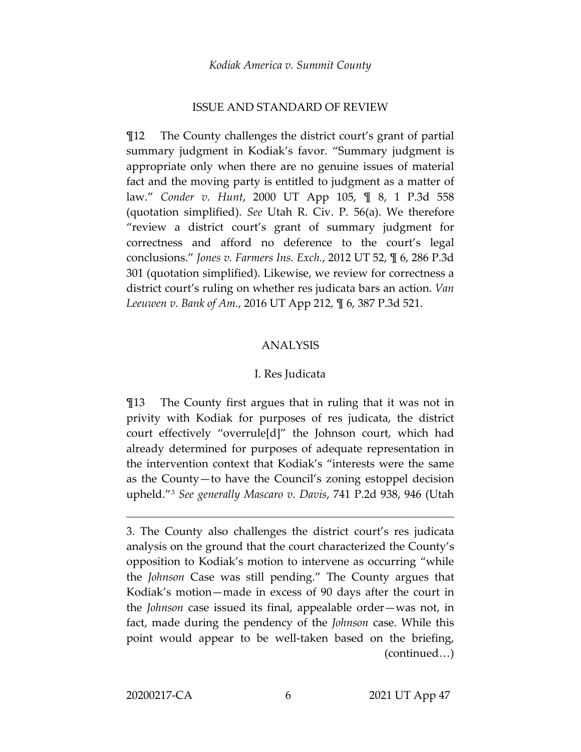### ISSUE AND STANDARD OF REVIEW

¶12 The County challenges the district court's grant of partial summary judgment in Kodiak's favor. "Summary judgment is appropriate only when there are no genuine issues of material fact and the moving party is entitled to judgment as a matter of law." *Conder v. Hunt*, 2000 UT App 105, ¶ 8, 1 P.3d 558 (quotation simplified). *See* Utah R. Civ. P. 56(a). We therefore "review a district court's grant of summary judgment for correctness and afford no deference to the court's legal conclusions." *Jones v. Farmers Ins. Exch.*, 2012 UT 52, ¶ 6, 286 P.3d 301 (quotation simplified). Likewise, we review for correctness a district court's ruling on whether res judicata bars an action. *Van Leeuwen v. Bank of Am.*, 2016 UT App 212, ¶ 6, 387 P.3d 521.

### ANALYSIS

#### I. Res Judicata

¶13 The County first argues that in ruling that it was not in privity with Kodiak for purposes of res judicata, the district court effectively "overrule[d]" the Johnson court, which had already determined for purposes of adequate representation in the intervention context that Kodiak's "interests were the same as the County—to have the Council's zoning estoppel decision upheld."[3](#page-5-0) *See generally Mascaro v. Davis*, 741 P.2d 938, 946 (Utah

<span id="page-5-0"></span><sup>3.</sup> The County also challenges the district court's res judicata analysis on the ground that the court characterized the County's opposition to Kodiak's motion to intervene as occurring "while the *Johnson* Case was still pending." The County argues that Kodiak's motion—made in excess of 90 days after the court in the *Johnson* case issued its final, appealable order—was not, in fact, made during the pendency of the *Johnson* case. While this point would appear to be well-taken based on the briefing, (continued…)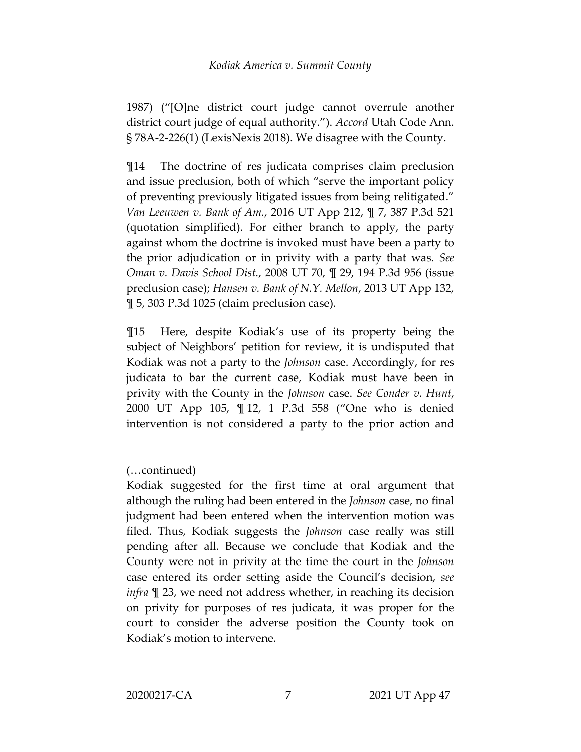1987) ("[O]ne district court judge cannot overrule another district court judge of equal authority."). *Accord* Utah Code Ann. § 78A-2-226(1) (LexisNexis 2018). We disagree with the County.

¶14 The doctrine of res judicata comprises claim preclusion and issue preclusion, both of which "serve the important policy of preventing previously litigated issues from being relitigated." *Van Leeuwen v. Bank of Am.*, 2016 UT App 212, ¶ 7, 387 P.3d 521 (quotation simplified). For either branch to apply, the party against whom the doctrine is invoked must have been a party to the prior adjudication or in privity with a party that was. *See Oman v. Davis School Dist.*, 2008 UT 70, ¶ 29, 194 P.3d 956 (issue preclusion case); *Hansen v. Bank of N.Y. Mellon*, 2013 UT App 132, ¶ 5, 303 P.3d 1025 (claim preclusion case).

¶15 Here, despite Kodiak's use of its property being the subject of Neighbors' petition for review, it is undisputed that Kodiak was not a party to the *Johnson* case. Accordingly, for res judicata to bar the current case, Kodiak must have been in privity with the County in the *Johnson* case. *See Conder v. Hunt*, 2000 UT App 105, ¶ 12, 1 P.3d 558 ("One who is denied intervention is not considered a party to the prior action and

<sup>(…</sup>continued)

Kodiak suggested for the first time at oral argument that although the ruling had been entered in the *Johnson* case, no final judgment had been entered when the intervention motion was filed. Thus, Kodiak suggests the *Johnson* case really was still pending after all. Because we conclude that Kodiak and the County were not in privity at the time the court in the *Johnson* case entered its order setting aside the Council's decision, *see infra* ¶ 23, we need not address whether, in reaching its decision on privity for purposes of res judicata, it was proper for the court to consider the adverse position the County took on Kodiak's motion to intervene.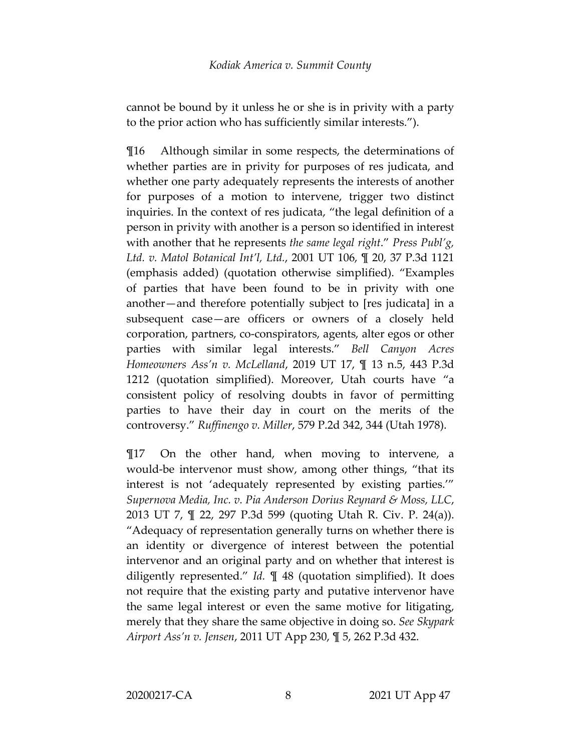cannot be bound by it unless he or she is in privity with a party to the prior action who has sufficiently similar interests.").

¶16 Although similar in some respects, the determinations of whether parties are in privity for purposes of res judicata, and whether one party adequately represents the interests of another for purposes of a motion to intervene, trigger two distinct inquiries. In the context of res judicata, "the legal definition of a person in privity with another is a person so identified in interest with another that he represents *the same legal right*." *Press Publ'g, Ltd. v. Matol Botanical Int'l, Ltd.*, 2001 UT 106, ¶ 20, 37 P.3d 1121 (emphasis added) (quotation otherwise simplified). "Examples of parties that have been found to be in privity with one another—and therefore potentially subject to [res judicata] in a subsequent case—are officers or owners of a closely held corporation, partners, co-conspirators, agents, alter egos or other parties with similar legal interests." *Bell Canyon Acres Homeowners Ass'n v. McLelland*, 2019 UT 17, ¶ 13 n.5, 443 P.3d 1212 (quotation simplified). Moreover, Utah courts have "a consistent policy of resolving doubts in favor of permitting parties to have their day in court on the merits of the controversy." *Ruffinengo v. Miller*, 579 P.2d 342, 344 (Utah 1978).

¶17 On the other hand, when moving to intervene, a would-be intervenor must show, among other things, "that its interest is not 'adequately represented by existing parties.'" *Supernova Media, Inc. v. Pia Anderson Dorius Reynard & Moss, LLC*, 2013 UT 7, ¶ 22, 297 P.3d 599 (quoting Utah R. Civ. P. 24(a)). "Adequacy of representation generally turns on whether there is an identity or divergence of interest between the potential intervenor and an original party and on whether that interest is diligently represented." *Id.* ¶ 48 (quotation simplified). It does not require that the existing party and putative intervenor have the same legal interest or even the same motive for litigating, merely that they share the same objective in doing so. *See Skypark Airport Ass'n v. Jensen*, 2011 UT App 230, ¶ 5, 262 P.3d 432.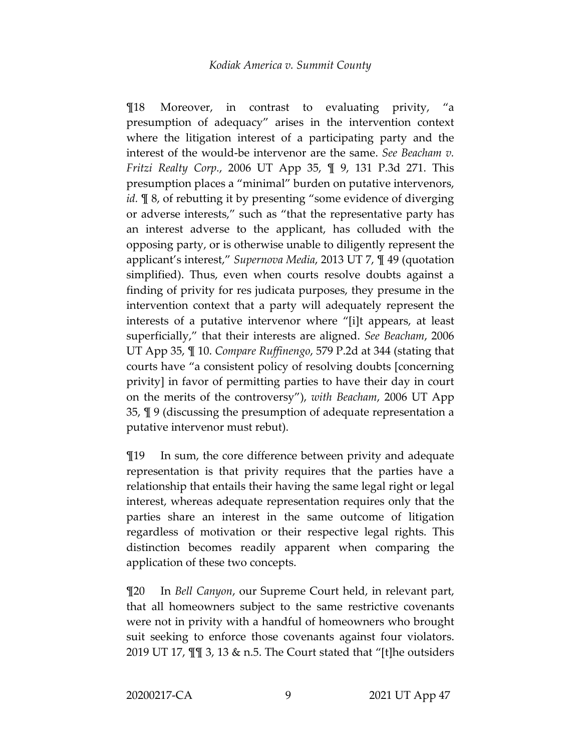¶18 Moreover, in contrast to evaluating privity, "a presumption of adequacy" arises in the intervention context where the litigation interest of a participating party and the interest of the would-be intervenor are the same. *See Beacham v. Fritzi Realty Corp.*, 2006 UT App 35, ¶ 9, 131 P.3d 271. This presumption places a "minimal" burden on putative intervenors, *id.* ¶ 8, of rebutting it by presenting "some evidence of diverging or adverse interests," such as "that the representative party has an interest adverse to the applicant, has colluded with the opposing party, or is otherwise unable to diligently represent the applicant's interest," *Supernova Media*, 2013 UT 7, ¶ 49 (quotation simplified). Thus, even when courts resolve doubts against a finding of privity for res judicata purposes, they presume in the intervention context that a party will adequately represent the interests of a putative intervenor where "[i]t appears, at least superficially," that their interests are aligned. *See Beacham*, 2006 UT App 35, ¶ 10. *Compare Ruffinengo*, 579 P.2d at 344 (stating that courts have "a consistent policy of resolving doubts [concerning privity] in favor of permitting parties to have their day in court on the merits of the controversy"), *with Beacham*, 2006 UT App 35, ¶ 9 (discussing the presumption of adequate representation a putative intervenor must rebut).

¶19 In sum, the core difference between privity and adequate representation is that privity requires that the parties have a relationship that entails their having the same legal right or legal interest, whereas adequate representation requires only that the parties share an interest in the same outcome of litigation regardless of motivation or their respective legal rights. This distinction becomes readily apparent when comparing the application of these two concepts.

¶20 In *Bell Canyon*, our Supreme Court held, in relevant part, that all homeowners subject to the same restrictive covenants were not in privity with a handful of homeowners who brought suit seeking to enforce those covenants against four violators. 2019 UT 17, ¶¶ 3, 13 & n.5. The Court stated that "[t]he outsiders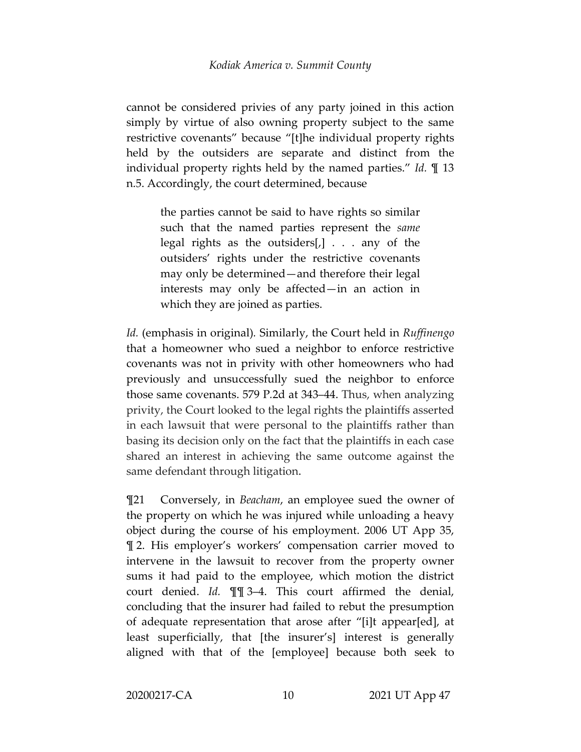cannot be considered privies of any party joined in this action simply by virtue of also owning property subject to the same restrictive covenants" because "[t]he individual property rights held by the outsiders are separate and distinct from the individual property rights held by the named parties." *Id.* ¶ 13 n.5. Accordingly, the court determined, because

> the parties cannot be said to have rights so similar such that the named parties represent the *same*  legal rights as the outsiders[,] . . . any of the outsiders' rights under the restrictive covenants may only be determined—and therefore their legal interests may only be affected—in an action in which they are joined as parties.

*Id.* (emphasis in original)*.* Similarly, the Court held in *Ruffinengo*  that a homeowner who sued a neighbor to enforce restrictive covenants was not in privity with other homeowners who had previously and unsuccessfully sued the neighbor to enforce those same covenants. 579 P*.*2d at 343–44. Thus, when analyzing privity, the Court looked to the legal rights the plaintiffs asserted in each lawsuit that were personal to the plaintiffs rather than basing its decision only on the fact that the plaintiffs in each case shared an interest in achieving the same outcome against the same defendant through litigation.

¶21 Conversely, in *Beacham*, an employee sued the owner of the property on which he was injured while unloading a heavy object during the course of his employment. 2006 UT App 35, ¶ 2. His employer's workers' compensation carrier moved to intervene in the lawsuit to recover from the property owner sums it had paid to the employee, which motion the district court denied. *Id.* ¶¶ 3–4. This court affirmed the denial, concluding that the insurer had failed to rebut the presumption of adequate representation that arose after "[i]t appear[ed], at least superficially, that [the insurer's] interest is generally aligned with that of the [employee] because both seek to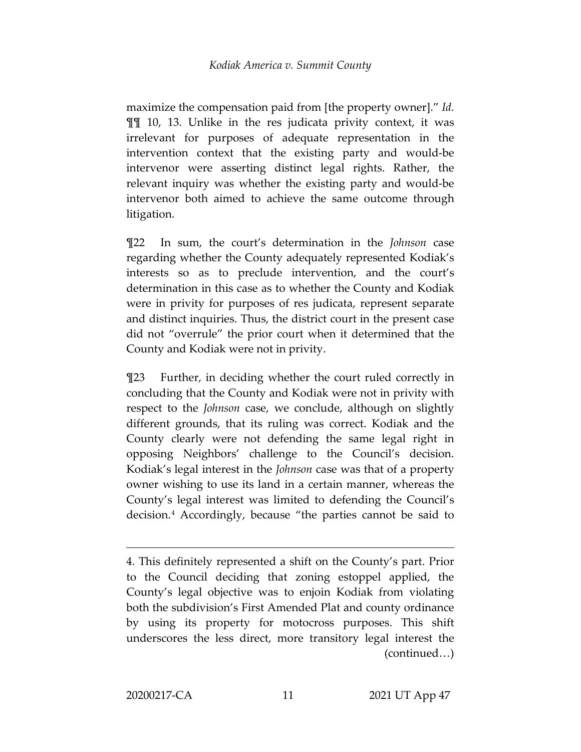maximize the compensation paid from [the property owner]." *Id.* ¶¶ 10, 13. Unlike in the res judicata privity context, it was irrelevant for purposes of adequate representation in the intervention context that the existing party and would-be intervenor were asserting distinct legal rights. Rather, the relevant inquiry was whether the existing party and would-be intervenor both aimed to achieve the same outcome through litigation.

¶22 In sum, the court's determination in the *Johnson* case regarding whether the County adequately represented Kodiak's interests so as to preclude intervention, and the court's determination in this case as to whether the County and Kodiak were in privity for purposes of res judicata, represent separate and distinct inquiries. Thus, the district court in the present case did not "overrule" the prior court when it determined that the County and Kodiak were not in privity.

¶23 Further, in deciding whether the court ruled correctly in concluding that the County and Kodiak were not in privity with respect to the *Johnson* case, we conclude, although on slightly different grounds, that its ruling was correct. Kodiak and the County clearly were not defending the same legal right in opposing Neighbors' challenge to the Council's decision. Kodiak's legal interest in the *Johnson* case was that of a property owner wishing to use its land in a certain manner, whereas the County's legal interest was limited to defending the Council's decision.[4](#page-10-0) Accordingly, because "the parties cannot be said to

<span id="page-10-0"></span><sup>4.</sup> This definitely represented a shift on the County's part. Prior to the Council deciding that zoning estoppel applied, the County's legal objective was to enjoin Kodiak from violating both the subdivision's First Amended Plat and county ordinance by using its property for motocross purposes. This shift underscores the less direct, more transitory legal interest the (continued…)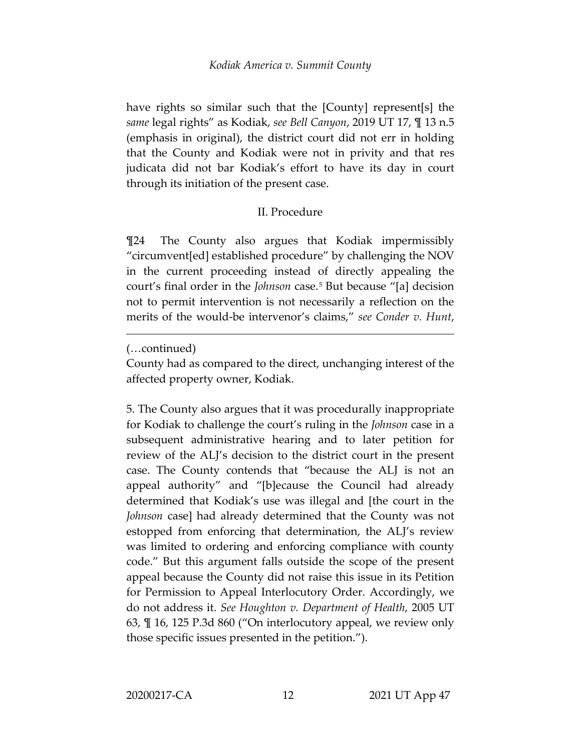have rights so similar such that the [County] represent[s] the *same* legal rights" as Kodiak, *see Bell Canyon*, 2019 UT 17, ¶ 13 n.5 (emphasis in original), the district court did not err in holding that the County and Kodiak were not in privity and that res judicata did not bar Kodiak's effort to have its day in court through its initiation of the present case.

# II. Procedure

¶24 The County also argues that Kodiak impermissibly "circumvent[ed] established procedure" by challenging the NOV in the current proceeding instead of directly appealing the court's final order in the *Johnson* case.[5](#page-11-0) But because "[a] decision not to permit intervention is not necessarily a reflection on the merits of the would-be intervenor's claims," *see Conder v. Hunt*,

 $\overline{a}$ 

<span id="page-11-0"></span>5. The County also argues that it was procedurally inappropriate for Kodiak to challenge the court's ruling in the *Johnson* case in a subsequent administrative hearing and to later petition for review of the ALJ's decision to the district court in the present case. The County contends that "because the ALJ is not an appeal authority" and "[b]ecause the Council had already determined that Kodiak's use was illegal and [the court in the *Johnson* case] had already determined that the County was not estopped from enforcing that determination, the ALJ's review was limited to ordering and enforcing compliance with county code." But this argument falls outside the scope of the present appeal because the County did not raise this issue in its Petition for Permission to Appeal Interlocutory Order. Accordingly, we do not address it. *See Houghton v. Department of Health*, 2005 UT 63, ¶ 16, 125 P.3d 860 ("On interlocutory appeal, we review only those specific issues presented in the petition.").

<sup>(…</sup>continued)

County had as compared to the direct, unchanging interest of the affected property owner, Kodiak.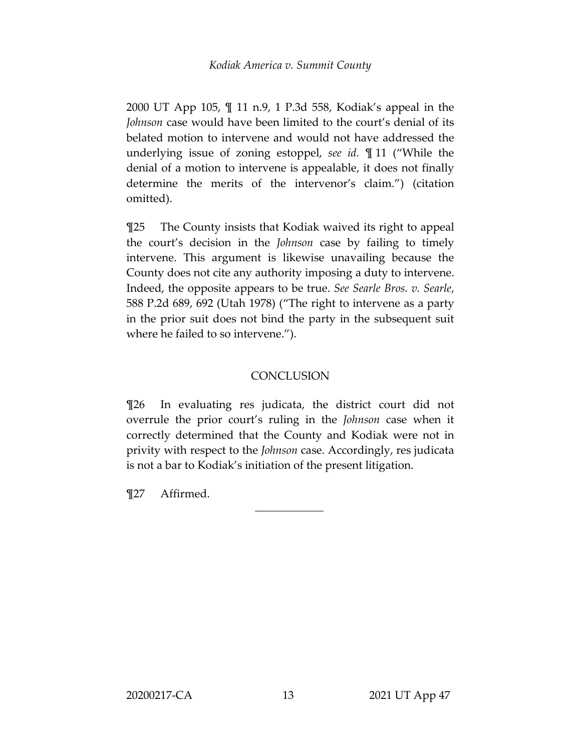2000 UT App 105, ¶ 11 n.9, 1 P.3d 558, Kodiak's appeal in the *Johnson* case would have been limited to the court's denial of its belated motion to intervene and would not have addressed the underlying issue of zoning estoppel, *see id.* ¶ 11 ("While the denial of a motion to intervene is appealable, it does not finally determine the merits of the intervenor's claim.") (citation omitted).

¶25 The County insists that Kodiak waived its right to appeal the court's decision in the *Johnson* case by failing to timely intervene. This argument is likewise unavailing because the County does not cite any authority imposing a duty to intervene. Indeed, the opposite appears to be true. *See Searle Bros. v. Searle*, 588 P.2d 689, 692 (Utah 1978) ("The right to intervene as a party in the prior suit does not bind the party in the subsequent suit where he failed to so intervene.").

# **CONCLUSION**

¶26 In evaluating res judicata, the district court did not overrule the prior court's ruling in the *Johnson* case when it correctly determined that the County and Kodiak were not in privity with respect to the *Johnson* case. Accordingly, res judicata is not a bar to Kodiak's initiation of the present litigation.

¶27 Affirmed.